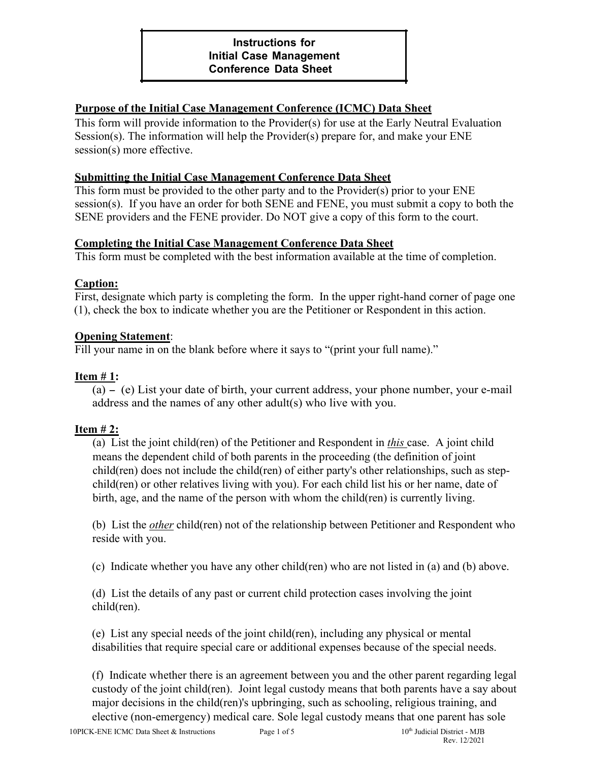### **Purpose of the Initial Case Management Conference (ICMC) Data Sheet**

This form will provide information to the Provider(s) for use at the Early Neutral Evaluation Session(s). The information will help the Provider(s) prepare for, and make your ENE session(s) more effective.

# **Submitting the Initial Case Management Conference Data Sheet**

This form must be provided to the other party and to the Provider(s) prior to your ENE session(s). If you have an order for both SENE and FENE, you must submit a copy to both the SENE providers and the FENE provider. Do NOT give a copy of this form to the court.

#### **Completing the Initial Case Management Conference Data Sheet**

This form must be completed with the best information available at the time of completion.

#### **Caption:**

First, designate which party is completing the form. In the upper right-hand corner of page one (1), check the box to indicate whether you are the Petitioner or Respondent in this action.

#### **Opening Statement**:

Fill your name in on the blank before where it says to "(print your full name)."

## **Item # 1:**

(a) - (e) List your date of birth, your current address, your phone number, your e-mail address and the names of any other adult(s) who live with you.

# **Item # 2:**

(a) List the joint child(ren) of the Petitioner and Respondent in *this* case. A joint child means the dependent child of both parents in the proceeding (the definition of joint child(ren) does not include the child(ren) of either party's other relationships, such as stepchild(ren) or other relatives living with you). For each child list his or her name, date of birth, age, and the name of the person with whom the child(ren) is currently living.

(b)List the *other* child(ren) not of the relationship between Petitioner and Respondent who reside with you.

(c) Indicate whether you have any other child(ren) who are not listed in (a) and (b) above.

(d)List the details of any past or current child protection cases involving the joint child(ren).

(e) List any special needs of the joint child(ren), including any physical or mental disabilities that require special care or additional expenses because of the special needs.

(f) Indicate whether there is an agreement between you and the other parent regarding legal custody of the joint child(ren). Joint legal custody means that both parents have a say about major decisions in the child(ren)'s upbringing, such as schooling, religious training, and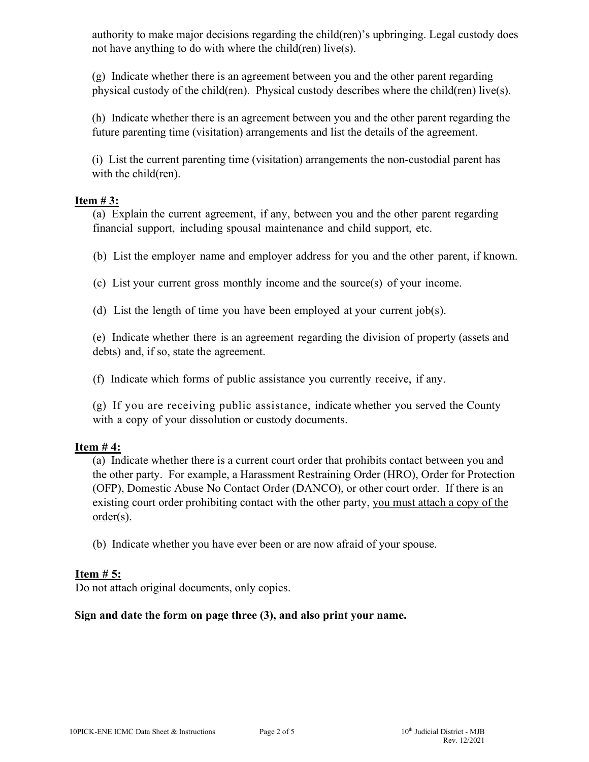authority to make major decisions regarding the child(ren)'s upbringing. Legal custody does not have anything to do with where the child(ren) live(s).

(g) Indicate whether there is an agreement between you and the other parent regarding physical custody of the child(ren). Physical custody describes where the child(ren) live(s).

(h) Indicate whether there is an agreement between you and the other parent regarding the future parenting time (visitation) arrangements and list the details of the agreement.

(i) List the current parenting time (visitation) arrangements the non-custodial parent has with the child(ren).

## **Item # 3:**

(a) Explain the current agreement, if any, between you and the other parent regarding financial support, including spousal maintenance and child support, etc.

(b) List the employer name and employer address for you and the other parent, if known.

(c) List your current gross monthly income and the source(s) of your income.

(d) List the length of time you have been employed at your current job(s).

(e) Indicate whether there is an agreement regarding the division of property (assets and debts) and, if so, state the agreement.

(f) Indicate which forms of public assistance you currently receive, if any.

(g) If you are receiving public assistance, indicate whether you served the County with a copy of your dissolution or custody documents.

# **Item # 4:**

(a) Indicate whether there is a current court order that prohibits contact between you and the other party. For example, a Harassment Restraining Order (HRO), Order for Protection (OFP), Domestic Abuse No Contact Order (DANCO), or other court order. If there is an existing court order prohibiting contact with the other party, you must attach a copy of the order(s).

(b)Indicate whether you have ever been or are now afraid of your spouse.

# **Item # 5:**

Do not attach original documents, only copies.

# **Sign and date the form on page three (3), and also print your name.**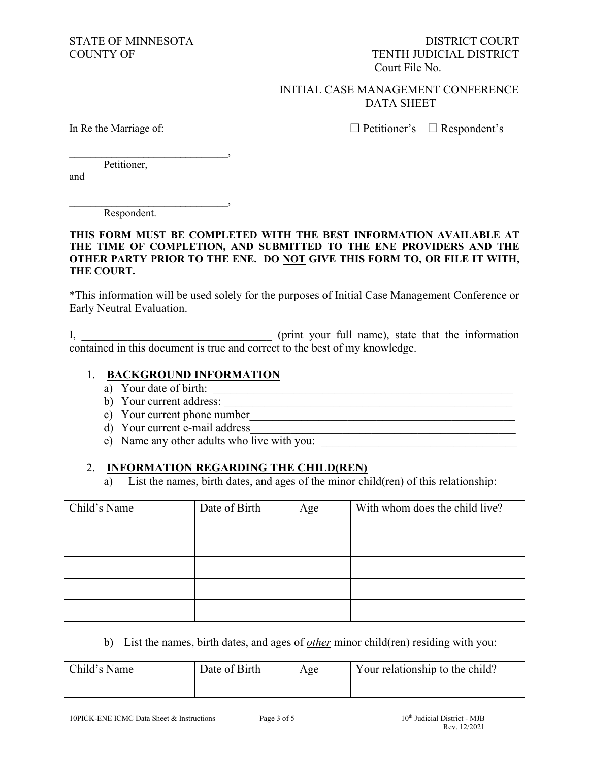#### INITIAL CASE MANAGEMENT CONFERENCE DATA SHEET

In Re the Marriage of:

 $\Box$  Petitioner's  $\Box$  Respondent's

Petitioner,

\_\_\_\_\_\_\_\_\_\_\_\_\_\_\_\_\_\_\_\_\_\_\_\_\_\_\_\_\_\_,

and

\_\_\_\_\_\_\_\_\_\_\_\_\_\_\_\_\_\_\_\_\_\_\_\_\_\_\_\_\_\_, Respondent.

**THIS FORM MUST BE COMPLETED WITH THE BEST INFORMATION AVAILABLE AT THE TIME OF COMPLETION, AND SUBMITTED TO THE ENE PROVIDERS AND THE OTHER PARTY PRIOR TO THE ENE. DO NOT GIVE THIS FORM TO, OR FILE IT WITH, THE COURT.**

\*This information will be used solely for the purposes of Initial Case Management Conference or Early Neutral Evaluation.

I, the information (print your full name), state that the information contained in this document is true and correct to the best of my knowledge.

#### 1. **BACKGROUND INFORMATION**

- a) Your date of birth:
- b) Your current address:
- c) Your current phone number\_\_\_\_\_\_\_\_\_\_\_\_\_\_\_\_\_\_\_\_\_\_\_\_\_\_\_\_\_\_\_\_\_\_\_\_\_\_\_\_\_\_\_\_\_\_
- d) Your current e-mail address\_\_\_\_\_\_\_\_\_\_\_\_\_\_\_\_\_\_\_\_\_\_\_\_\_\_\_\_\_\_\_\_\_\_\_\_\_\_\_\_\_\_\_\_\_\_
- e) Name any other adults who live with you:

#### 2. **INFORMATION REGARDING THE CHILD(REN)**

a) List the names, birth dates, and ages of the minor child(ren) of this relationship:

| Child's Name | Date of Birth | Age | With whom does the child live? |
|--------------|---------------|-----|--------------------------------|
|              |               |     |                                |
|              |               |     |                                |
|              |               |     |                                |
|              |               |     |                                |
|              |               |     |                                |

b) List the names, birth dates, and ages of *other* minor child(ren) residing with you:

| Child's Name | Date of Birth | Age | Your relationship to the child? |
|--------------|---------------|-----|---------------------------------|
|              |               |     |                                 |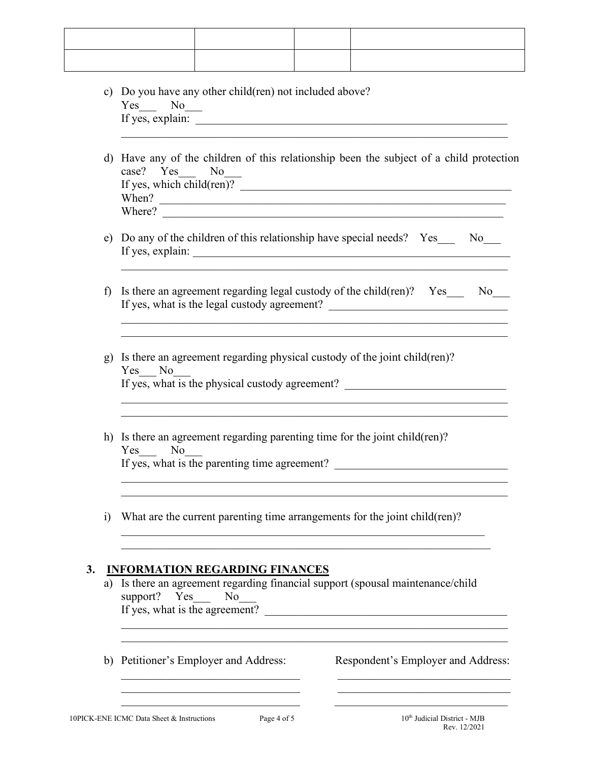|            | c) Do you have any other child (ren) not included above?<br>Yes No<br>d) Have any of the children of this relationship been the subject of a child protection<br>case? Yes No<br>If yes, which child(ren)?<br>When? $\blacksquare$<br>Where? |                                               |  |                                                                                                                                                                    |  |
|------------|----------------------------------------------------------------------------------------------------------------------------------------------------------------------------------------------------------------------------------------------|-----------------------------------------------|--|--------------------------------------------------------------------------------------------------------------------------------------------------------------------|--|
|            |                                                                                                                                                                                                                                              |                                               |  |                                                                                                                                                                    |  |
|            |                                                                                                                                                                                                                                              |                                               |  | e) Do any of the children of this relationship have special needs? Yes<br>No                                                                                       |  |
| f          |                                                                                                                                                                                                                                              |                                               |  | Is there an agreement regarding legal custody of the child(ren)? Yes_<br>No No<br>If yes, what is the legal custody agreement? ___________________________________ |  |
|            | Yes No                                                                                                                                                                                                                                       |                                               |  | g) Is there an agreement regarding physical custody of the joint child(ren)?<br>If yes, what is the physical custody agreement?                                    |  |
|            | Yes<br>N <sub>o</sub>                                                                                                                                                                                                                        | If yes, what is the parenting time agreement? |  | h) Is there an agreement regarding parenting time for the joint child (ren)?                                                                                       |  |
| $\ddot{1}$ |                                                                                                                                                                                                                                              |                                               |  | What are the current parenting time arrangements for the joint child(ren)?                                                                                         |  |
| 3.         | <b>INFORMATION REGARDING FINANCES</b><br>a) Is there an agreement regarding financial support (spousal maintenance/child<br>support? Yes No<br>If yes, what is the agreement?                                                                |                                               |  |                                                                                                                                                                    |  |
|            |                                                                                                                                                                                                                                              | b) Petitioner's Employer and Address:         |  | Respondent's Employer and Address:                                                                                                                                 |  |
|            | 10PICK-ENE ICMC Data Sheet & Instructions                                                                                                                                                                                                    | Page 4 of 5                                   |  | 10 <sup>th</sup> Judicial District - MJB                                                                                                                           |  |